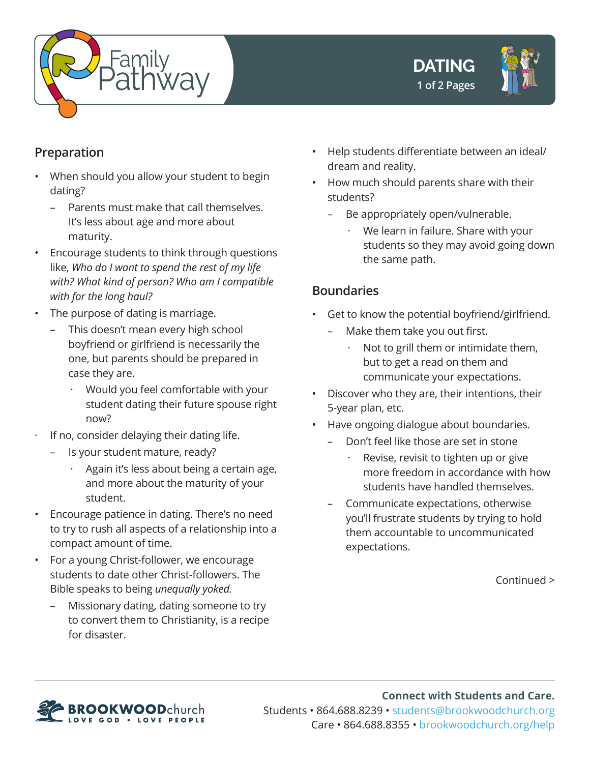





## **Preparation**

- When should you allow your student to begin dating?
	- Parents must make that call themselves. It's less about age and more about maturity.
- Encourage students to think through questions like, *Who do I want to spend the rest of my life with? What kind of person? Who am I compatible with for the long haul?*
- The purpose of dating is marriage.
	- This doesn't mean every high school boyfriend or girlfriend is necessarily the one, but parents should be prepared in case they are.
		- · Would you feel comfortable with your student dating their future spouse right now?
- · If no, consider delaying their dating life.
	- Is your student mature, ready?
		- Again it's less about being a certain age, and more about the maturity of your student.
- Encourage patience in dating. There's no need to try to rush all aspects of a relationship into a compact amount of time.
- For a young Christ-follower, we encourage students to date other Christ-followers. The Bible speaks to being *unequally yoked.*
	- Missionary dating, dating someone to try to convert them to Christianity, is a recipe for disaster.
- Help students differentiate between an ideal/ dream and reality.
- How much should parents share with their students?
	- Be appropriately open/vulnerable.
		- We learn in failure. Share with your students so they may avoid going down the same path.

## **Boundaries**

- Get to know the potential boyfriend/girlfriend.
	- Make them take you out first.
		- · Not to grill them or intimidate them, but to get a read on them and communicate your expectations.
- Discover who they are, their intentions, their 5-year plan, etc.
- Have ongoing dialogue about boundaries.
	- Don't feel like those are set in stone
		- Revise, revisit to tighten up or give more freedom in accordance with how students have handled themselves.
	- Communicate expectations, otherwise you'll frustrate students by trying to hold them accountable to uncommunicated expectations.

Continued >